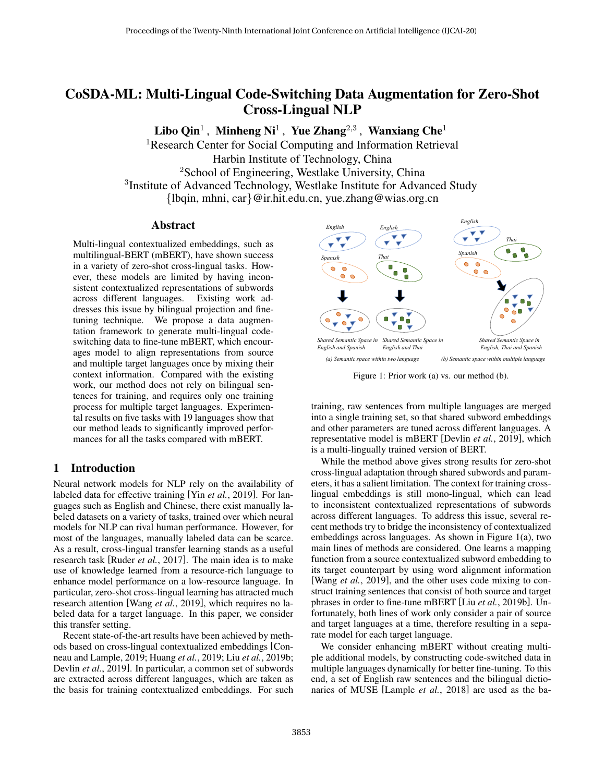# CoSDA-ML: Multi-Lingual Code-Switching Data Augmentation for Zero-Shot Cross-Lingual NLP

Libo Qin<sup>1</sup>, Minheng Ni<sup>1</sup>, Yue Zhang<sup>2,3</sup>, Wanxiang Che<sup>1</sup>

<sup>1</sup>Research Center for Social Computing and Information Retrieval Harbin Institute of Technology, China <sup>2</sup>School of Engineering, Westlake University, China <sup>3</sup>Institute of Advanced Technology, Westlake Institute for Advanced Study {lbqin, mhni, car}@ir.hit.edu.cn, yue.zhang@wias.org.cn

### Abstract

Multi-lingual contextualized embeddings, such as multilingual-BERT (mBERT), have shown success in a variety of zero-shot cross-lingual tasks. However, these models are limited by having inconsistent contextualized representations of subwords across different languages. Existing work addresses this issue by bilingual projection and finetuning technique. We propose a data augmentation framework to generate multi-lingual codeswitching data to fine-tune mBERT, which encourages model to align representations from source and multiple target languages once by mixing their context information. Compared with the existing work, our method does not rely on bilingual sentences for training, and requires only one training process for multiple target languages. Experimental results on five tasks with 19 languages show that our method leads to significantly improved performances for all the tasks compared with mBERT.

### 1 Introduction

Neural network models for NLP rely on the availability of labeled data for effective training [Yin *et al.*[, 2019\]](#page-7-0). For languages such as English and Chinese, there exist manually labeled datasets on a variety of tasks, trained over which neural models for NLP can rival human performance. However, for most of the languages, manually labeled data can be scarce. As a result, cross-lingual transfer learning stands as a useful research task [Ruder *et al.*[, 2017\]](#page-7-1). The main idea is to make use of knowledge learned from a resource-rich language to enhance model performance on a low-resource language. In particular, zero-shot cross-lingual learning has attracted much research attention [Wang *et al.*[, 2019\]](#page-7-2), which requires no labeled data for a target language. In this paper, we consider this transfer setting.

Recent state-of-the-art results have been achieved by methods based on cross-lingual contextualized embeddings [\[Con](#page-6-0)[neau and Lample, 2019;](#page-6-0) [Huang](#page-6-1) *et al.*, 2019; Liu *et al.*[, 2019b;](#page-7-3) Devlin *et al.*[, 2019\]](#page-6-2). In particular, a common set of subwords are extracted across different languages, which are taken as the basis for training contextualized embeddings. For such

<span id="page-0-0"></span>

Figure 1: Prior work (a) vs. our method (b).

training, raw sentences from multiple languages are merged into a single training set, so that shared subword embeddings and other parameters are tuned across different languages. A representative model is mBERT [\[Devlin](#page-6-2) *et al.*, 2019], which is a multi-lingually trained version of BERT.

While the method above gives strong results for zero-shot cross-lingual adaptation through shared subwords and parameters, it has a salient limitation. The context for training crosslingual embeddings is still mono-lingual, which can lead to inconsistent contextualized representations of subwords across different languages. To address this issue, several recent methods try to bridge the inconsistency of contextualized embeddings across languages. As shown in Figure [1\(](#page-0-0)a), two main lines of methods are considered. One learns a mapping function from a source contextualized subword embedding to its target counterpart by using word alignment information [Wang *et al.*[, 2019\]](#page-7-2), and the other uses code mixing to construct training sentences that consist of both source and target phrases in order to fine-tune mBERT [Liu *et al.*[, 2019b\]](#page-7-3). Unfortunately, both lines of work only consider a pair of source and target languages at a time, therefore resulting in a separate model for each target language.

We consider enhancing mBERT without creating multiple additional models, by constructing code-switched data in multiple languages dynamically for better fine-tuning. To this end, a set of English raw sentences and the bilingual dictionaries of MUSE [\[Lample](#page-6-3) *et al.*, 2018] are used as the ba-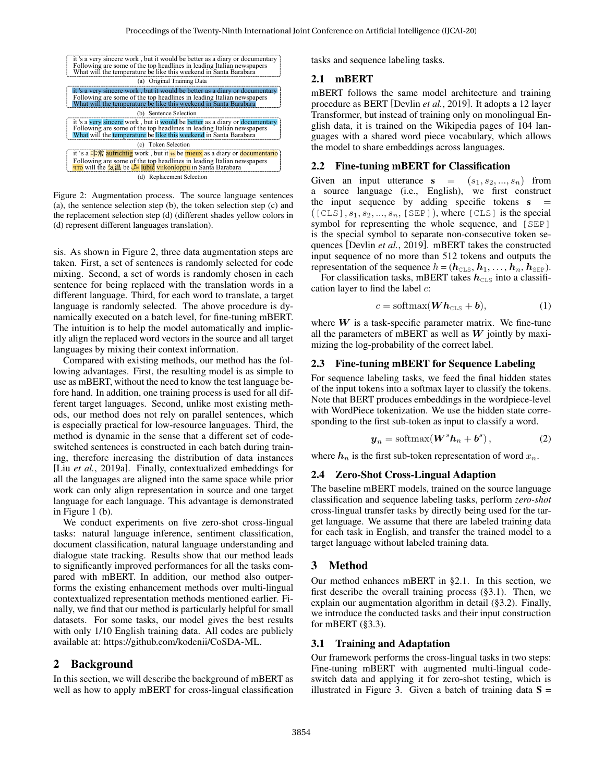<span id="page-1-0"></span>

Figure 2: Augmentation process. The source language sentences (a), the sentence selection step (b), the token selection step (c) and the replacement selection step (d) (different shades yellow colors in (d) represent different languages translation).

sis. As shown in Figure [2,](#page-1-0) three data augmentation steps are taken. First, a set of sentences is randomly selected for code mixing. Second, a set of words is randomly chosen in each sentence for being replaced with the translation words in a different language. Third, for each word to translate, a target language is randomly selected. The above procedure is dynamically executed on a batch level, for fine-tuning mBERT. The intuition is to help the model automatically and implicitly align the replaced word vectors in the source and all target languages by mixing their context information.

Compared with existing methods, our method has the following advantages. First, the resulting model is as simple to use as mBERT, without the need to know the test language before hand. In addition, one training process is used for all different target languages. Second, unlike most existing methods, our method does not rely on parallel sentences, which is especially practical for low-resource languages. Third, the method is dynamic in the sense that a different set of codeswitched sentences is constructed in each batch during training, therefore increasing the distribution of data instances [Liu *et al.*[, 2019a\]](#page-7-4). Finally, contextualized embeddings for all the languages are aligned into the same space while prior work can only align representation in source and one target language for each language. This advantage is demonstrated in Figure [1](#page-0-0) (b).

We conduct experiments on five zero-shot cross-lingual tasks: natural language inference, sentiment classification, document classification, natural language understanding and dialogue state tracking. Results show that our method leads to significantly improved performances for all the tasks compared with mBERT. In addition, our method also outperforms the existing enhancement methods over multi-lingual contextualized representation methods mentioned earlier. Finally, we find that our method is particularly helpful for small datasets. For some tasks, our model gives the best results with only 1/10 English training data. All codes are publicly available at: [https://github.com/kodenii/CoSDA-ML.](https://github.com/kodenii/CoSDA-ML)

### 2 Background

In this section, we will describe the background of mBERT as well as how to apply mBERT for cross-lingual classification tasks and sequence labeling tasks.

#### <span id="page-1-1"></span>2.1 mBERT

mBERT follows the same model architecture and training procedure as BERT [\[Devlin](#page-6-2) *et al.*, 2019]. It adopts a 12 layer Transformer, but instead of training only on monolingual English data, it is trained on the Wikipedia pages of 104 languages with a shared word piece vocabulary, which allows the model to share embeddings across languages.

#### 2.2 Fine-tuning mBERT for Classification

Given an input utterance  $s = (s_1, s_2, ..., s_n)$  from a source language (i.e., English), we first construct the input sequence by adding specific tokens  $s =$  $([CLS], s_1, s_2, ..., s_n, [SEP]),$  where  $[CLS]$  is the special symbol for representing the whole sequence, and [SEP] is the special symbol to separate non-consecutive token sequences [\[Devlin](#page-6-2) *et al.*, 2019]. mBERT takes the constructed input sequence of no more than 512 tokens and outputs the representation of the sequence  $h = (h_{\text{CLS}}, h_1, \ldots, h_n, h_{\text{SEP}}).$ 

For classification tasks, mBERT takes  $h_{\text{CLS}}$  into a classification layer to find the label  $c$ :

$$
c = \text{softmax}(\boldsymbol{W}\boldsymbol{h}_{\text{CLS}} + \boldsymbol{b}), \tag{1}
$$

where  $W$  is a task-specific parameter matrix. We fine-tune all the parameters of mBERT as well as  $W$  jointly by maximizing the log-probability of the correct label.

### 2.3 Fine-tuning mBERT for Sequence Labeling

For sequence labeling tasks, we feed the final hidden states of the input tokens into a softmax layer to classify the tokens. Note that BERT produces embeddings in the wordpiece-level with WordPiece tokenization. We use the hidden state corresponding to the first sub-token as input to classify a word.

$$
\mathbf{y}_n = \text{softmax}(\mathbf{W}^s \mathbf{h}_n + \mathbf{b}^s), \tag{2}
$$

where  $h_n$  is the first sub-token representation of word  $x_n$ .

### 2.4 Zero-Shot Cross-Lingual Adaption

The baseline mBERT models, trained on the source language classification and sequence labeling tasks, perform *zero-shot* cross-lingual transfer tasks by directly being used for the target language. We assume that there are labeled training data for each task in English, and transfer the trained model to a target language without labeled training data.

### 3 Method

Our method enhances mBERT in [§2.1.](#page-1-1) In this section, we first describe the overall training process ([§3.1\)](#page-1-2). Then, we explain our augmentation algorithm in detail ([§3.2\)](#page-2-0). Finally, we introduce the conducted tasks and their input construction for mBERT  $(\S 3.3)$ .

#### <span id="page-1-2"></span>3.1 Training and Adaptation

Our framework performs the cross-lingual tasks in two steps: Fine-tuning mBERT with augmented multi-lingual codeswitch data and applying it for zero-shot testing, which is illustrated in Figure [3.](#page-2-2) Given a batch of training data  $S =$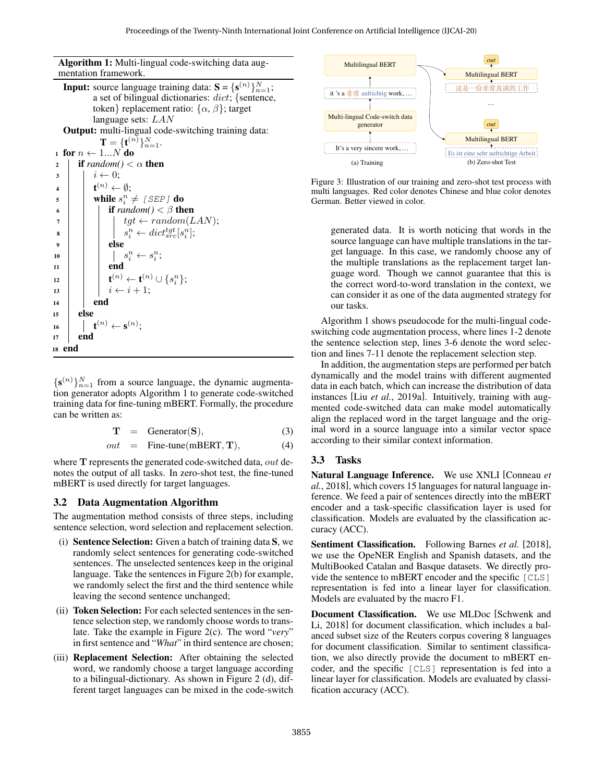Algorithm 1: Multi-lingual code-switching data augmentation framework.

**Input:** source language training data:  $S = \{S^{(n)}\}_{n=1}^N$ ; a set of bilingual dictionaries: dict; {sentence, token} replacement ratio:  $\{\alpha, \beta\}$ ; target language sets: LAN Output: multi-lingual code-switching training data:  $\mathbf{T} = \{\mathbf{t}^{(n)}\}_{n=1}^N.$ 1 for  $n \leftarrow 1...N$  do 2 **if**  $random() < \alpha$  then  $\overline{\mathbf{3}}$   $\vert \overline{\mathbf{4}} \leftarrow 0$ ; 4 | t  $\mathbf{t}^{(n)} \leftarrow \emptyset$ :  $\mathsf{s}$  | while  $s_i^n \neq \textit{[SEP]}$  do 6 **i** if  $random() < \beta$  then  $\tau$  | | |  $tgt \leftarrow random(LAN);$  $\begin{array}{c|c|c|c|c|c} \hline \hspace{1.5cm} \textbf{8} & \hspace{1.5cm} & \hspace{1.5cm} & \hspace{1.5cm} & \hspace{1.5cm} & \hspace{1.5cm} & \hspace{1.5cm} & \hspace{1.5cm} & \hspace{1.5cm} & \hspace{1.5cm} & \hspace{1.5cm} \end{array}$  $i^{\{n\}} \leftarrow dict_{src}^{tgt}[s_i^n];$  $9$  else <sup>10</sup> s n <sup>i</sup> ← s n i ;  $11$  end  $12$  t  $^{(n)}\leftarrow \mathbf{t}^{(n)}\cup \{s_i^n\};$ 13  $\vert \vert \vert i \leftarrow i + 1;$  $14$  end <sup>15</sup> else  $\mathbf{16} \quad | \quad \mathbf{t}^{(n)} \leftarrow \mathbf{s}^{(n)};$ 17 end <sup>18</sup> end

<span id="page-2-3"></span> $\{s^{(n)}\}_{n=1}^N$  from a source language, the dynamic augmentation generator adopts Algorithm [1](#page-2-3) to generate code-switched training data for fine-tuning mBERT. Formally, the procedure can be written as:

$$
T = \text{Generator}(S), \tag{3}
$$

$$
out = \text{ Fine-tune}(mBERT, \mathbf{T}), \tag{4}
$$

where T represents the generated code-switched data, *out* denotes the output of all tasks. In zero-shot test, the fine-tuned mBERT is used directly for target languages.

### <span id="page-2-0"></span>3.2 Data Augmentation Algorithm

The augmentation method consists of three steps, including sentence selection, word selection and replacement selection.

- (i) Sentence Selection: Given a batch of training data S, we randomly select sentences for generating code-switched sentences. The unselected sentences keep in the original language. Take the sentences in Figure [2\(](#page-1-0)b) for example, we randomly select the first and the third sentence while leaving the second sentence unchanged;
- (ii) **Token Selection:** For each selected sentences in the sentence selection step, we randomly choose words to translate. Take the example in Figure [2\(](#page-1-0)c). The word "*very*" in first sentence and "*What*" in third sentence are chosen;
- (iii) Replacement Selection: After obtaining the selected word, we randomly choose a target language according to a bilingual-dictionary. As shown in Figure [2](#page-1-0) (d), different target languages can be mixed in the code-switch

<span id="page-2-2"></span>

Figure 3: Illustration of our training and zero-shot test process with multi languages. Red color denotes Chinese and blue color denotes German. Better viewed in color.

generated data. It is worth noticing that words in the source language can have multiple translations in the target language. In this case, we randomly choose any of the multiple translations as the replacement target language word. Though we cannot guarantee that this is the correct word-to-word translation in the context, we can consider it as one of the data augmented strategy for our tasks.

Algorithm [1](#page-2-3) shows pseudocode for the multi-lingual codeswitching code augmentation process, where lines 1-2 denote the sentence selection step, lines 3-6 denote the word selection and lines 7-11 denote the replacement selection step.

In addition, the augmentation steps are performed per batch dynamically and the model trains with different augmented data in each batch, which can increase the distribution of data instances [Liu *et al.*[, 2019a\]](#page-7-4). Intuitively, training with augmented code-switched data can make model automatically align the replaced word in the target language and the original word in a source language into a similar vector space according to their similar context information.

### <span id="page-2-1"></span>3.3 Tasks

Natural Language Inference. We use XNLI [\[Conneau](#page-6-4) *et al.*[, 2018\]](#page-6-4), which covers 15 languages for natural language inference. We feed a pair of sentences directly into the mBERT encoder and a task-specific classification layer is used for classification. Models are evaluated by the classification accuracy (ACC).

Sentiment Classification. Following [Barnes](#page-6-5) *et al.* [\[2018\]](#page-6-5), we use the OpeNER English and Spanish datasets, and the MultiBooked Catalan and Basque datasets. We directly provide the sentence to mBERT encoder and the specific [CLS] representation is fed into a linear layer for classification. Models are evaluated by the macro F1.

Document Classification. We use MLDoc [\[Schwenk and](#page-7-5) [Li, 2018\]](#page-7-5) for document classification, which includes a balanced subset size of the Reuters corpus covering 8 languages for document classification. Similar to sentiment classification, we also directly provide the document to mBERT encoder, and the specific [CLS] representation is fed into a linear layer for classification. Models are evaluated by classification accuracy (ACC).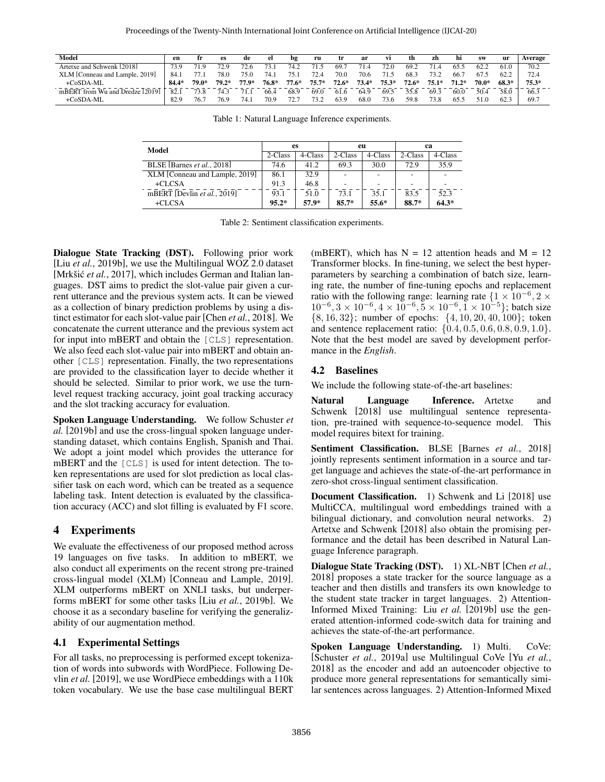<span id="page-3-1"></span><span id="page-3-0"></span>

| Model                           | en    |       | es    | de      | el    | bg      | ru      | tr      | ar      | vi      | th      | zh      | hi      | <b>SW</b> | <b>ur</b> | Average |
|---------------------------------|-------|-------|-------|---------|-------|---------|---------|---------|---------|---------|---------|---------|---------|-----------|-----------|---------|
| Artetxe and Schwenk [2018]      | 73.9  | 71.9  | 72.9  | 72.6    | 73.1  | 74.2    | 71.5    | 69.     | 71.4    | 72.0    | 69.2    |         | 65.5    | 62.2      | 61.0      | 70.2    |
| XLM [Conneau and Lample, 2019]  | 84.   |       | 78.0  | 75.0    | 74.   | 75.1    | 72.4    | 70.0    | 70.6    | 71.5    | 68.3    | 73.2    | 66.     | 67.5      | 62.2      | 72.4    |
| $+CoSDA-ML$                     | 84.4* | 79.0* | 70 2* | $77.9*$ | 76.8* | $77.6*$ | $75.7*$ | $72.6*$ | $73.4*$ | $75.3*$ | $72.6*$ | $75.1*$ | $71.2*$ | 70.0*     | 68.3*     | $75.3*$ |
| mBERT from Wu and Dredze [2019] | 82.   | 73.8  | 74.3  | 71.     | 66.4  | 68.9    | 69.0    | 61.6    | 64.9    | 69.5    | 55.8    | 69.3    | 60.0    | 50.4      | 58.0      | 66.3    |
| $+C0SDA-ML$                     | 82.9  | 76.   | 76.9  | 74.     | 70.9  | 72.7    | 73 2    | 63.9    | 68.0    | 73.6    | 59.8    | 73.8    | 65.5    |           | 62.3      | 69.7    |

Table 1: Natural Language Inference experiments.

| Model                          | es      |         | eu      |         | ca      |         |  |
|--------------------------------|---------|---------|---------|---------|---------|---------|--|
|                                | 2-Class | 4-Class | 2-Class | 4-Class | 2-Class | 4-Class |  |
| BLSE [Barnes et al., 2018]     | 74.6    | 41.2    | 69.3    | 30.0    | 72.9    | 35.9    |  |
| XLM [Conneau and Lample, 2019] | 86.1    | 32.9    |         |         |         |         |  |
| $+CLCSA$                       | 91.3    | 46.8    |         |         |         |         |  |
| mBERT [Devlin et al., 2019]    | 93.1    | 51.0    | 73.1    | 35.1    | 83.5    | 52.3    |  |
| $+CLCSA$                       | $95.2*$ | 57.9*   | $85.7*$ | 55.6*   | 88.7*   | $64.3*$ |  |

Table 2: Sentiment classification experiments.

Dialogue State Tracking (DST). Following prior work [Liu *et al.*[, 2019b\]](#page-7-3), we use the Multilingual WOZ 2.0 dataset [Mrkšić et al.[, 2017\]](#page-7-7), which includes German and Italian languages. DST aims to predict the slot-value pair given a current utterance and the previous system acts. It can be viewed as a collection of binary prediction problems by using a distinct estimator for each slot-value pair [Chen *et al.*[, 2018\]](#page-6-7). We concatenate the current utterance and the previous system act for input into mBERT and obtain the [CLS] representation. We also feed each slot-value pair into mBERT and obtain another [CLS] representation. Finally, the two representations are provided to the classification layer to decide whether it should be selected. Similar to prior work, we use the turnlevel request tracking accuracy, joint goal tracking accuracy and the slot tracking accuracy for evaluation.

Spoken Language Understanding. We follow [Schuster](#page-7-8) *et [al.](#page-7-8)* [\[2019b\]](#page-7-8) and use the cross-lingual spoken language understanding dataset, which contains English, Spanish and Thai. We adopt a joint model which provides the utterance for mBERT and the [CLS] is used for intent detection. The token representations are used for slot prediction as local classifier task on each word, which can be treated as a sequence labeling task. Intent detection is evaluated by the classification accuracy (ACC) and slot filling is evaluated by F1 score.

## 4 Experiments

We evaluate the effectiveness of our proposed method across 19 languages on five tasks. In addition to mBERT, we also conduct all experiments on the recent strong pre-trained cross-lingual model (XLM) [\[Conneau and Lample, 2019\]](#page-6-0). XLM outperforms mBERT on XNLI tasks, but underperforms mBERT for some other tasks [Liu *et al.*[, 2019b\]](#page-7-3). We choose it as a secondary baseline for verifying the generalizability of our augmentation method.

### 4.1 Experimental Settings

For all tasks, no preprocessing is performed except tokenization of words into subwords with WordPiece. Following [De](#page-6-2)vlin *[et al.](#page-6-2)* [\[2019\]](#page-6-2), we use WordPiece embeddings with a 110k token vocabulary. We use the base case multilingual BERT (mBERT), which has  $N = 12$  attention heads and  $M = 12$ Transformer blocks. In fine-tuning, we select the best hyperparameters by searching a combination of batch size, learning rate, the number of fine-tuning epochs and replacement ratio with the following range: learning rate  $\{1 \times 10^{-6}, 2 \times$  $10^{-6}$ ,  $3 \times 10^{-6}$ ,  $4 \times 10^{-6}$ ,  $5 \times 10^{-6}$ ,  $1 \times 10^{-5}$ }; batch size {8, 16, 32}; number of epochs: {4, 10, 20, 40, 100}; token and sentence replacement ratio:  $\{0.4, 0.5, 0.6, 0.8, 0.9, 1.0\}.$ Note that the best model are saved by development performance in the *English*.

### 4.2 Baselines

We include the following state-of-the-art baselines:

Natural Language Inference. [Artetxe and](#page-6-6) [Schwenk](#page-6-6) [\[2018\]](#page-6-6) use multilingual sentence representation, pre-trained with sequence-to-sequence model. This model requires bitext for training.

Sentiment Classification. BLSE [Barnes *et al.*[, 2018\]](#page-6-5) jointly represents sentiment information in a source and target language and achieves the state-of-the-art performance in zero-shot cross-lingual sentiment classification.

Document Classification. 1) [Schwenk and Li](#page-7-5) [\[2018\]](#page-7-5) use MultiCCA, multilingual word embeddings trained with a bilingual dictionary, and convolution neural networks. 2) [Artetxe and Schwenk](#page-6-6) [\[2018\]](#page-6-6) also obtain the promising performance and the detail has been described in Natural Language Inference paragraph.

Dialogue State Tracking (DST). 1) XL-NBT [\[Chen](#page-6-7) *et al.*, [2018\]](#page-6-7) proposes a state tracker for the source language as a teacher and then distills and transfers its own knowledge to the student state tracker in target languages. 2) Attention-Informed Mixed Training: Liu *[et al.](#page-7-3)* [\[2019b\]](#page-7-3) use the generated attention-informed code-switch data for training and achieves the state-of-the-art performance.

Spoken Language Understanding. 1) Multi. CoVe: [\[Schuster](#page-7-9) *et al.*, 2019a] use Multilingual CoVe [Yu *[et al.](#page-7-10)*, [2018\]](#page-7-10) as the encoder and add an autoencoder objective to produce more general representations for semantically similar sentences across languages. 2) Attention-Informed Mixed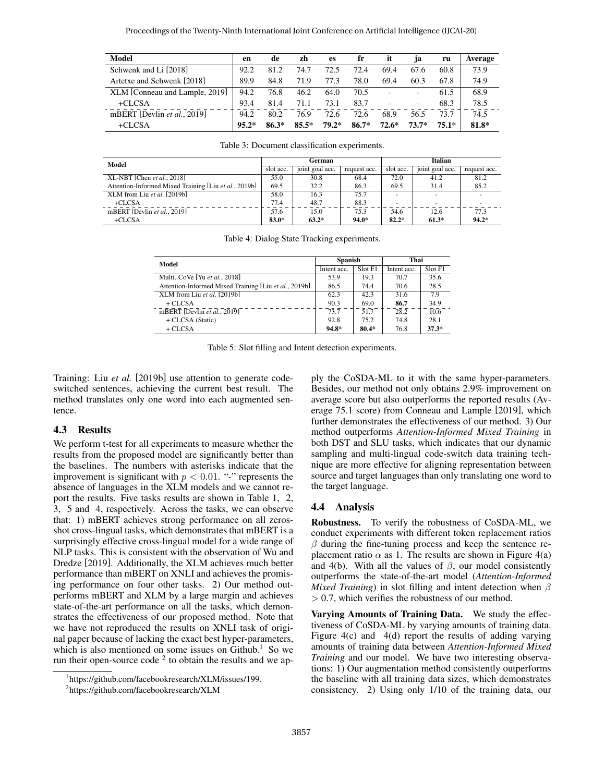<span id="page-4-0"></span>

| Model                          | en      | de      | zh      | es      | fr      | it      | 1a      | ru      | Average |
|--------------------------------|---------|---------|---------|---------|---------|---------|---------|---------|---------|
| Schwenk and Li [2018]          | 92.2    | 81.2    | 74.7    | 72.5    | 72.4    | 69.4    | 67.6    | 60.8    | 73.9    |
| Artetxe and Schwenk [2018]     | 89.9    | 84.8    | 71.9    | 77.3    | 78.0    | 69.4    | 60.3    | 67.8    | 74.9    |
| XLM [Conneau and Lample, 2019] | 94.2    | 76.8    | 46.2    | 64.0    | 70.5    |         | ٠       | 61.5    | 68.9    |
| $+CLCSA$                       | 93.4    | 81.4    | 71.1    | 73.1    | 83.7    |         | ٠       | 68.3    | 78.5    |
| mBERT [Devlin et al., 2019]    | 94.2    | 80.2    | 76.9    | 72.6    | 72.6    | 68.9    | 56.5    | 73.7    | 74.5    |
| $+CLCSA$                       | $95.2*$ | $86.3*$ | $85.5*$ | $79.2*$ | $86.7*$ | $72.6*$ | $73.7*$ | $75.1*$ | 81.8*   |

Table 3: Document classification experiments.

<span id="page-4-2"></span>

| Model                                                 |           | German          |              | Italian   |                          |              |  |
|-------------------------------------------------------|-----------|-----------------|--------------|-----------|--------------------------|--------------|--|
|                                                       | slot acc. | joint goal acc. | request acc. | slot acc. | joint goal acc.          | request acc. |  |
| $XL-NBT$ [Chen <i>et al.</i> , 2018]                  | 55.0      | 30.8            | 68.4         | 72.0      | 41.2                     | 81.2         |  |
| Attention-Informed Mixed Training [Liu et al., 2019b] | 69.5      | 32.2            | 86.3         | 69.5      | 31.4                     | 85.2         |  |
| XLM from Liu et al. [2019b]                           | 58.0      | 16.3            | 75.7         |           | $\overline{a}$           |              |  |
| $+CLCSA$                                              | 77.4      | 48.7            | 88.3         |           | $\overline{\phantom{a}}$ |              |  |
| mBERT [Devlin et al., 2019]                           | 57.6      | 15.0            | 75.3         | 54.6      | 12.6                     | 77.3         |  |
| $+CLCSA$                                              | $83.0*$   | $63.2*$         | $94.0*$      | $82.2*$   | $61.3*$                  | $94.2*$      |  |

|  |  | Table 4: Dialog State Tracking experiments. |
|--|--|---------------------------------------------|

<span id="page-4-1"></span>

| Model                                                 | <b>Spanish</b> |         | Thai        |         |  |
|-------------------------------------------------------|----------------|---------|-------------|---------|--|
|                                                       | Intent acc.    | Slot F1 | Intent acc. | Slot F1 |  |
| Multi. CoVe [Yu et al., 2018]                         | 53.9           | 19.3    | 70.7        | 35.6    |  |
| Attention-Informed Mixed Training [Liu et al., 2019b] | 86.5           | 74.4    | 70.6        | 28.5    |  |
| XLM from Liu et al. [2019b]                           | 62.3           | 42.3    | 31.6        | 7.9     |  |
| $+CLCSA$                                              | 90.3           | 69.0    | 86.7        | 34.9    |  |
| mBERT [Devlin et al., 2019]                           | 73.7           | 51.7    | 28.2        | 10.6    |  |
| + CLCSA (Static)                                      | 92.8           | 75.2    | 74.8        | 28.1    |  |
| + CLCSA                                               | 94.8*          | $80.4*$ | 76.8        | $37.3*$ |  |

Table 5: Slot filling and Intent detection experiments.

Training: Liu *[et al.](#page-7-3)* [\[2019b\]](#page-7-3) use attention to generate codeswitched sentences, achieving the current best result. The method translates only one word into each augmented sentence.

#### 4.3 Results

We perform t-test for all experiments to measure whether the results from the proposed model are significantly better than the baselines. The numbers with asterisks indicate that the improvement is significant with  $p < 0.01$ . "-" represents the absence of languages in the XLM models and we cannot report the results. Five tasks results are shown in Table [1,](#page-3-0) [2,](#page-3-1) [3,](#page-4-0) [5](#page-4-1) and [4,](#page-4-2) respectively. Across the tasks, we can observe that: 1) mBERT achieves strong performance on all zerosshot cross-lingual tasks, which demonstrates that mBERT is a surprisingly effective cross-lingual model for a wide range of NLP tasks. This is consistent with the observation of [Wu and](#page-7-6) [Dredze](#page-7-6) [\[2019\]](#page-7-6). Additionally, the XLM achieves much better performance than mBERT on XNLI and achieves the promising performance on four other tasks. 2) Our method outperforms mBERT and XLM by a large margin and achieves state-of-the-art performance on all the tasks, which demonstrates the effectiveness of our proposed method. Note that we have not reproduced the results on XNLI task of original paper because of lacking the exact best hyper-parameters, which is also mentioned on some issues on Github.<sup>[1](#page-4-3)</sup> So we run their open-source code  $2$  to obtain the results and we apply the CoSDA-ML to it with the same hyper-parameters. Besides, our method not only obtains 2.9% improvement on average score but also outperforms the reported results (Average 75.1 score) from [Conneau and Lample](#page-6-0) [\[2019\]](#page-6-0), which further demonstrates the effectiveness of our method. 3) Our method outperforms *Attention-Informed Mixed Training* in both DST and SLU tasks, which indicates that our dynamic sampling and multi-lingual code-switch data training technique are more effective for aligning representation between source and target languages than only translating one word to the target language.

#### 4.4 Analysis

Robustness. To verify the robustness of CoSDA-ML, we conduct experiments with different token replacement ratios  $\beta$  during the fine-tuning process and keep the sentence replacement ratio  $\alpha$  as 1. The results are shown in Figure [4\(](#page-5-0)a) and [4\(](#page-5-0)b). With all the values of  $\beta$ , our model consistently outperforms the state-of-the-art model (*Attention-Informed Mixed Training*) in slot filling and intent detection when  $\beta$  $> 0.7$ , which verifies the robustness of our method.

Varying Amounts of Training Data. We study the effectiveness of CoSDA-ML by varying amounts of training data. Figure [4\(](#page-5-0)c) and [4\(](#page-5-0)d) report the results of adding varying amounts of training data between *Attention-Informed Mixed Training* and our model. We have two interesting observations: 1) Our augmentation method consistently outperforms the baseline with all training data sizes, which demonstrates consistency. 2) Using only 1/10 of the training data, our

<span id="page-4-3"></span><sup>1</sup> https://github.com/facebookresearch/XLM/issues/199.

<span id="page-4-4"></span><sup>2</sup> https://github.com/facebookresearch/XLM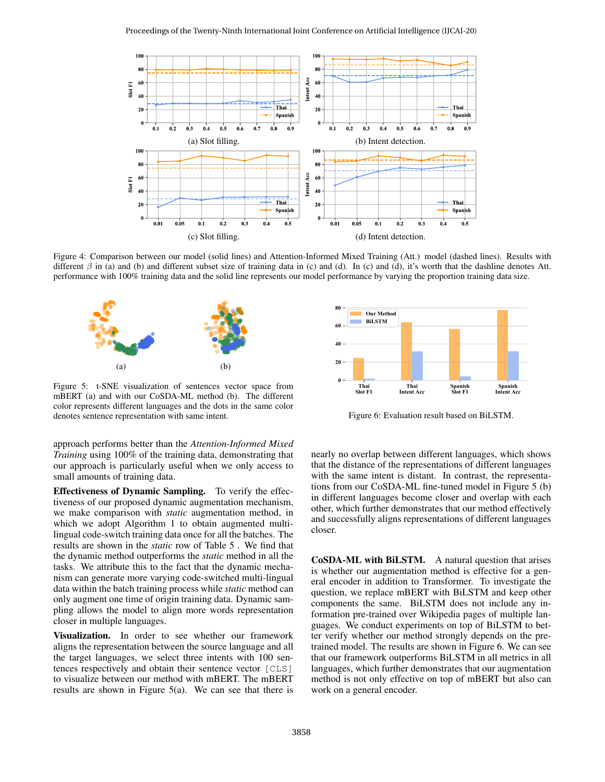<span id="page-5-0"></span>

Figure 4: Comparison between our model (solid lines) and Attention-Informed Mixed Training (Att.) model (dashed lines). Results with different  $\beta$  in (a) and (b) and different subset size of training data in (c) and (d). In (c) and (d), it's worth that the dashline denotes Att. performance with 100% training data and the solid line represents our model performance by varying the proportion training data size.

<span id="page-5-1"></span>

Figure 5: t-SNE visualization of sentences vector space from mBERT (a) and with our CoSDA-ML method (b). The different color represents different languages and the dots in the same color denotes sentence representation with same intent.

approach performs better than the *Attention-Informed Mixed Training* using 100% of the training data, demonstrating that our approach is particularly useful when we only access to small amounts of training data.

Effectiveness of Dynamic Sampling. To verify the effectiveness of our proposed dynamic augmentation mechanism, we make comparison with *static* augmentation method, in which we adopt Algorithm [1](#page-2-3) to obtain augmented multilingual code-switch training data once for all the batches. The results are shown in the *static* row of Table [5](#page-4-1) . We find that the dynamic method outperforms the *static* method in all the tasks. We attribute this to the fact that the dynamic mechanism can generate more varying code-switched multi-lingual data within the batch training process while *static* method can only augment one time of origin training data. Dynamic sampling allows the model to align more words representation closer in multiple languages.

Visualization. In order to see whether our framework aligns the representation between the source language and all the target languages, we select three intents with 100 sentences respectively and obtain their sentence vector [CLS] to visualize between our method with mBERT. The mBERT results are shown in Figure [5\(](#page-5-1)a). We can see that there is

<span id="page-5-2"></span>

Figure 6: Evaluation result based on BiLSTM.

nearly no overlap between different languages, which shows that the distance of the representations of different languages with the same intent is distant. In contrast, the representations from our CoSDA-ML fine-tuned model in Figure [5](#page-5-1) (b) in different languages become closer and overlap with each other, which further demonstrates that our method effectively and successfully aligns representations of different languages closer.

CoSDA-ML with BiLSTM. A natural question that arises is whether our augmentation method is effective for a general encoder in addition to Transformer. To investigate the question, we replace mBERT with BiLSTM and keep other components the same. BiLSTM does not include any information pre-trained over Wikipedia pages of multiple languages. We conduct experiments on top of BiLSTM to better verify whether our method strongly depends on the pretrained model. The results are shown in Figure [6.](#page-5-2) We can see that our framework outperforms BiLSTM in all metrics in all languages, which further demonstrates that our augmentation method is not only effective on top of mBERT but also can work on a general encoder.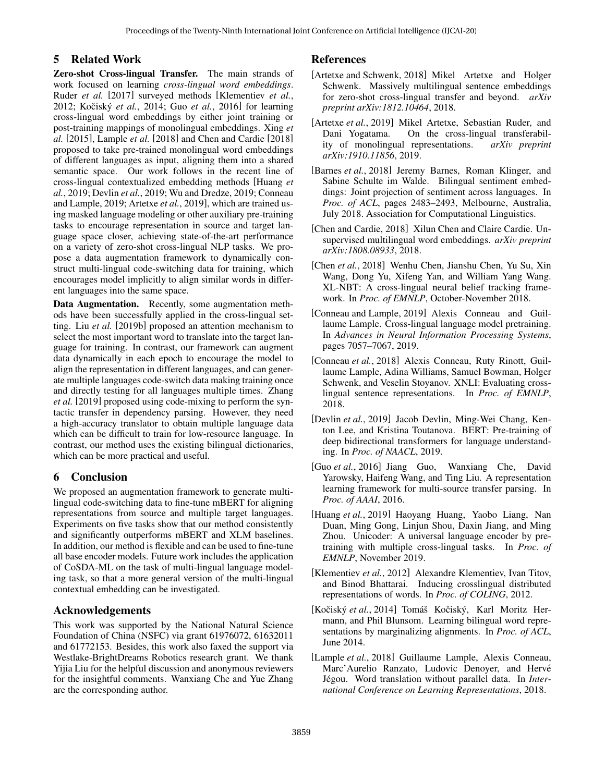## 5 Related Work

Zero-shot Cross-lingual Transfer. The main strands of work focused on learning *cross-lingual word embeddings*. [Ruder](#page-7-1) *et al.* [\[2017\]](#page-7-1) surveyed methods [\[Klementiev](#page-6-8) *et al.*, [2012;](#page-6-8) Kočiský *et al.*, 2014; Guo *et al.*[, 2016\]](#page-6-10) for learning cross-lingual word embeddings by either joint training or post-training mappings of monolingual embeddings. [Xing](#page-7-11) *et [al.](#page-7-11)* [\[2015\]](#page-7-11), [Lample](#page-6-3) *et al.* [\[2018\]](#page-6-3) and [Chen and Cardie](#page-6-11) [\[2018\]](#page-6-11) proposed to take pre-trained monolingual word embeddings of different languages as input, aligning them into a shared semantic space. Our work follows in the recent line of cross-lingual contextualized embedding methods [\[Huang](#page-6-1) *et al.*[, 2019;](#page-6-1) [Devlin](#page-6-2) *et al.*, 2019; [Wu and Dredze, 2019;](#page-7-6) [Conneau](#page-6-0) [and Lample, 2019;](#page-6-0) [Artetxe](#page-6-12) *et al.*, 2019], which are trained using masked language modeling or other auxiliary pre-training tasks to encourage representation in source and target language space closer, achieving state-of-the-art performance on a variety of zero-shot cross-lingual NLP tasks. We propose a data augmentation framework to dynamically construct multi-lingual code-switching data for training, which encourages model implicitly to align similar words in different languages into the same space.

Data Augmentation. Recently, some augmentation methods have been successfully applied in the cross-lingual setting. Liu *[et al.](#page-7-3)* [\[2019b\]](#page-7-3) proposed an attention mechanism to select the most important word to translate into the target language for training. In contrast, our framework can augment data dynamically in each epoch to encourage the model to align the representation in different languages, and can generate multiple languages code-switch data making training once and directly testing for all languages multiple times. [Zhang](#page-7-12) *[et al.](#page-7-12)* [\[2019\]](#page-7-12) proposed using code-mixing to perform the syntactic transfer in dependency parsing. However, they need a high-accuracy translator to obtain multiple language data which can be difficult to train for low-resource language. In contrast, our method uses the existing bilingual dictionaries, which can be more practical and useful.

## 6 Conclusion

We proposed an augmentation framework to generate multilingual code-switching data to fine-tune mBERT for aligning representations from source and multiple target languages. Experiments on five tasks show that our method consistently and significantly outperforms mBERT and XLM baselines. In addition, our method is flexible and can be used to fine-tune all base encoder models. Future work includes the application of CoSDA-ML on the task of multi-lingual language modeling task, so that a more general version of the multi-lingual contextual embedding can be investigated.

## Acknowledgements

This work was supported by the National Natural Science Foundation of China (NSFC) via grant 61976072, 61632011 and 61772153. Besides, this work also faxed the support via Westlake-BrightDreams Robotics research grant. We thank Yijia Liu for the helpful discussion and anonymous reviewers for the insightful comments. Wanxiang Che and Yue Zhang are the corresponding author.

## References

- <span id="page-6-6"></span>[Artetxe and Schwenk, 2018] Mikel Artetxe and Holger Schwenk. Massively multilingual sentence embeddings for zero-shot cross-lingual transfer and beyond. *arXiv preprint arXiv:1812.10464*, 2018.
- <span id="page-6-12"></span>[Artetxe *et al.*, 2019] Mikel Artetxe, Sebastian Ruder, and Dani Yogatama. On the cross-lingual transferability of monolingual representations. *arXiv preprint arXiv:1910.11856*, 2019.
- <span id="page-6-5"></span>[Barnes *et al.*, 2018] Jeremy Barnes, Roman Klinger, and Sabine Schulte im Walde. Bilingual sentiment embeddings: Joint projection of sentiment across languages. In *Proc. of ACL*, pages 2483–2493, Melbourne, Australia, July 2018. Association for Computational Linguistics.
- <span id="page-6-11"></span>[Chen and Cardie, 2018] Xilun Chen and Claire Cardie. Unsupervised multilingual word embeddings. *arXiv preprint arXiv:1808.08933*, 2018.
- <span id="page-6-7"></span>[Chen *et al.*, 2018] Wenhu Chen, Jianshu Chen, Yu Su, Xin Wang, Dong Yu, Xifeng Yan, and William Yang Wang. XL-NBT: A cross-lingual neural belief tracking framework. In *Proc. of EMNLP*, October-November 2018.
- <span id="page-6-0"></span>[Conneau and Lample, 2019] Alexis Conneau and Guillaume Lample. Cross-lingual language model pretraining. In *Advances in Neural Information Processing Systems*, pages 7057–7067, 2019.
- <span id="page-6-4"></span>[Conneau *et al.*, 2018] Alexis Conneau, Ruty Rinott, Guillaume Lample, Adina Williams, Samuel Bowman, Holger Schwenk, and Veselin Stoyanov. XNLI: Evaluating crosslingual sentence representations. In *Proc. of EMNLP*, 2018.
- <span id="page-6-2"></span>[Devlin *et al.*, 2019] Jacob Devlin, Ming-Wei Chang, Kenton Lee, and Kristina Toutanova. BERT: Pre-training of deep bidirectional transformers for language understanding. In *Proc. of NAACL*, 2019.
- <span id="page-6-10"></span>[Guo *et al.*, 2016] Jiang Guo, Wanxiang Che, David Yarowsky, Haifeng Wang, and Ting Liu. A representation learning framework for multi-source transfer parsing. In *Proc. of AAAI*, 2016.
- <span id="page-6-1"></span>[Huang *et al.*, 2019] Haoyang Huang, Yaobo Liang, Nan Duan, Ming Gong, Linjun Shou, Daxin Jiang, and Ming Zhou. Unicoder: A universal language encoder by pretraining with multiple cross-lingual tasks. In *Proc. of EMNLP*, November 2019.
- <span id="page-6-8"></span>[Klementiev *et al.*, 2012] Alexandre Klementiev, Ivan Titov, and Binod Bhattarai. Inducing crosslingual distributed representations of words. In *Proc. of COLING*, 2012.
- <span id="page-6-9"></span>[Kočiský et al., 2014] Tomáš Kočiský, Karl Moritz Hermann, and Phil Blunsom. Learning bilingual word representations by marginalizing alignments. In *Proc. of ACL*, June 2014.
- <span id="page-6-3"></span>[Lample *et al.*, 2018] Guillaume Lample, Alexis Conneau, Marc'Aurelio Ranzato, Ludovic Denoyer, and Hervé Jégou. Word translation without parallel data. In *International Conference on Learning Representations*, 2018.